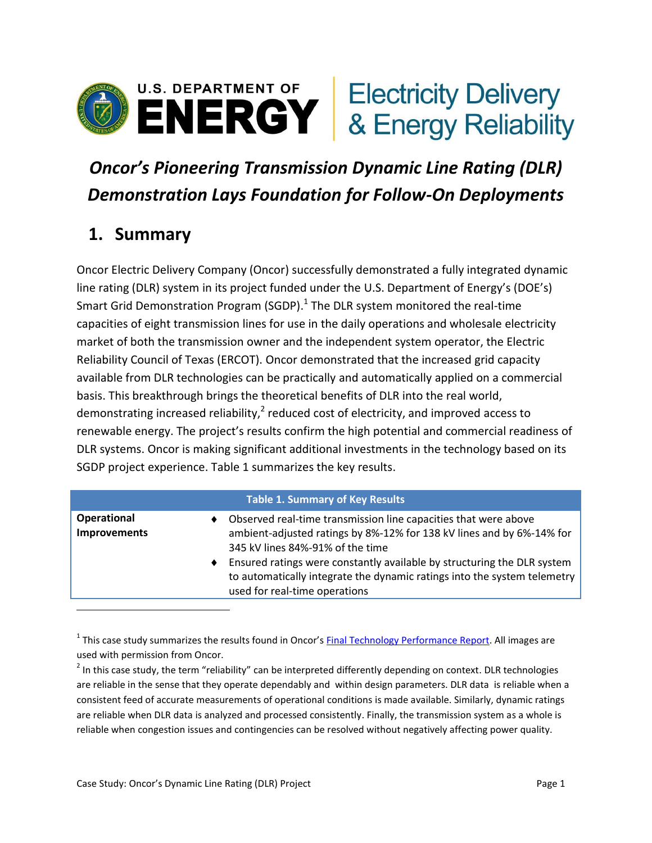

# *Oncor's Pioneering Transmission Dynamic Line Rating (DLR) Demonstration Lays Foundation for Follow-On Deployments*

## **1. Summary**

Oncor Electric Delivery Company (Oncor) successfully demonstrated a fully integrated dynamic line rating (DLR) system in its project funded under the U.S. Department of Energy's (DOE's) Smart Grid Demonstration Program (SGDP). $^1$  The DLR system monitored the real-time capacities of eight transmission lines for use in the daily operations and wholesale electricity market of both the transmission owner and the independent system operator, the Electric Reliability Council of Texas (ERCOT). Oncor demonstrated that the increased grid capacity available from DLR technologies can be practically and automatically applied on a commercial basis. This breakthrough brings the theoretical benefits of DLR into the real world, demonstrating increased reliability,<sup>2</sup> reduced cost of electricity, and improved access to renewable energy. The project's results confirm the high potential and commercial readiness of DLR systems. Oncor is making significant additional investments in the technology based on its SGDP project experience. Table 1 summarizes the key results.

| Table 1. Summary of Key Results |  |
|---------------------------------|--|
|                                 |  |

| <b>Operational</b><br>Improvements | Observed real-time transmission line capacities that were above<br>ambient-adjusted ratings by 8%-12% for 138 kV lines and by 6%-14% for<br>345 kV lines 84%-91% of the time         |
|------------------------------------|--------------------------------------------------------------------------------------------------------------------------------------------------------------------------------------|
|                                    | Ensured ratings were constantly available by structuring the DLR system<br>to automatically integrate the dynamic ratings into the system telemetry<br>used for real-time operations |
|                                    |                                                                                                                                                                                      |

<sup>1</sup> This case study summarizes the results found in Oncor's **Final Technology Performance Report**. All images are used with permission from Oncor.

 $^2$  In this case study, the term "reliability" can be interpreted differently depending on context. DLR technologies are reliable in the sense that they operate dependably and within design parameters. DLR data is reliable when a consistent feed of accurate measurements of operational conditions is made available. Similarly, dynamic ratings are reliable when DLR data is analyzed and processed consistently. Finally, the transmission system as a whole is reliable when congestion issues and contingencies can be resolved without negatively affecting power quality.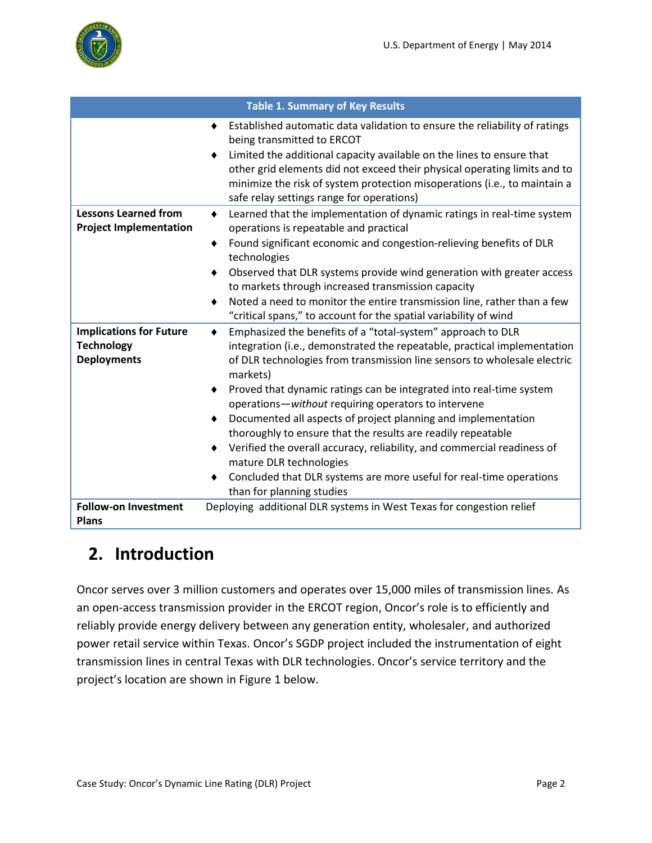

|                                                                           | <b>Table 1. Summary of Key Results</b>                                                                                                                                                                                                                                                                                                                                                                                                                                                                                                                                                                                                                                                                                     |
|---------------------------------------------------------------------------|----------------------------------------------------------------------------------------------------------------------------------------------------------------------------------------------------------------------------------------------------------------------------------------------------------------------------------------------------------------------------------------------------------------------------------------------------------------------------------------------------------------------------------------------------------------------------------------------------------------------------------------------------------------------------------------------------------------------------|
|                                                                           | Established automatic data validation to ensure the reliability of ratings<br>٠<br>being transmitted to ERCOT<br>Limited the additional capacity available on the lines to ensure that<br>other grid elements did not exceed their physical operating limits and to<br>minimize the risk of system protection misoperations (i.e., to maintain a<br>safe relay settings range for operations)                                                                                                                                                                                                                                                                                                                              |
| <b>Lessons Learned from</b><br><b>Project Implementation</b>              | Learned that the implementation of dynamic ratings in real-time system<br>٠<br>operations is repeatable and practical<br>Found significant economic and congestion-relieving benefits of DLR<br>technologies<br>Observed that DLR systems provide wind generation with greater access<br>to markets through increased transmission capacity<br>Noted a need to monitor the entire transmission line, rather than a few<br>"critical spans," to account for the spatial variability of wind                                                                                                                                                                                                                                 |
| <b>Implications for Future</b><br><b>Technology</b><br><b>Deployments</b> | Emphasized the benefits of a "total-system" approach to DLR<br>$\bullet$<br>integration (i.e., demonstrated the repeatable, practical implementation<br>of DLR technologies from transmission line sensors to wholesale electric<br>markets)<br>Proved that dynamic ratings can be integrated into real-time system<br>operations-without requiring operators to intervene<br>Documented all aspects of project planning and implementation<br>٠<br>thoroughly to ensure that the results are readily repeatable<br>Verified the overall accuracy, reliability, and commercial readiness of<br>mature DLR technologies<br>Concluded that DLR systems are more useful for real-time operations<br>than for planning studies |
| <b>Follow-on Investment</b><br><b>Plans</b>                               | Deploying additional DLR systems in West Texas for congestion relief                                                                                                                                                                                                                                                                                                                                                                                                                                                                                                                                                                                                                                                       |

## **2. Introduction**

Oncor serves over 3 million customers and operates over 15,000 miles of transmission lines. As an open-access transmission provider in the ERCOT region, Oncor's role is to efficiently and reliably provide energy delivery between any generation entity, wholesaler, and authorized power retail service within Texas. Oncor's SGDP project included the instrumentation of eight transmission lines in central Texas with DLR technologies. Oncor's service territory and the project's location are shown in [Figure 1](#page-2-0) below.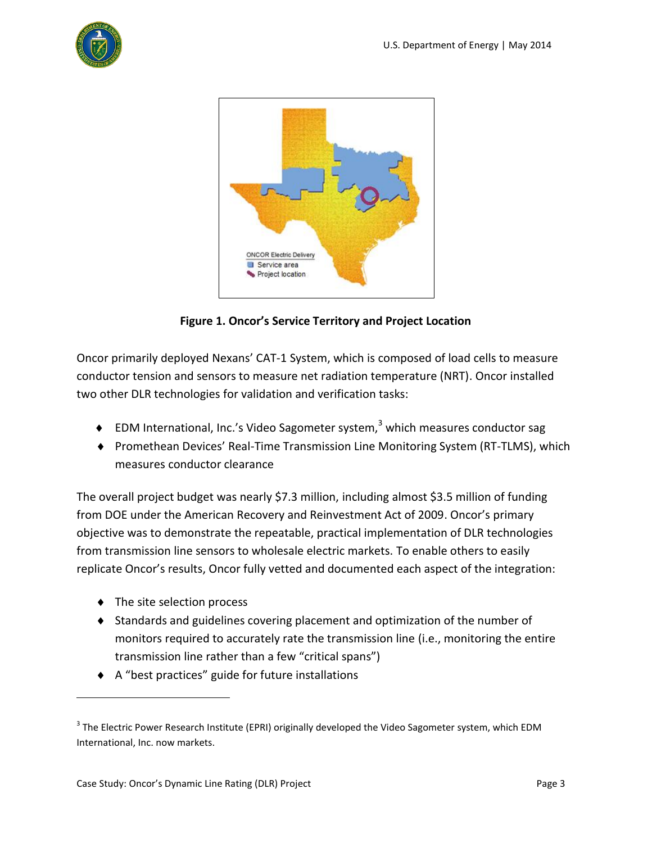



**Figure 1. Oncor's Service Territory and Project Location**

<span id="page-2-0"></span>Oncor primarily deployed Nexans' CAT-1 System, which is composed of load cells to measure conductor tension and sensors to measure net radiation temperature (NRT). Oncor installed two other DLR technologies for validation and verification tasks:

- EDM International, Inc.'s Video Sagometer system,<sup>3</sup> which measures conductor sag
- Promethean Devices' Real-Time Transmission Line Monitoring System (RT-TLMS), which measures conductor clearance

The overall project budget was nearly \$7.3 million, including almost \$3.5 million of funding from DOE under the American Recovery and Reinvestment Act of 2009. Oncor's primary objective was to demonstrate the repeatable, practical implementation of DLR technologies from transmission line sensors to wholesale electric markets. To enable others to easily replicate Oncor's results, Oncor fully vetted and documented each aspect of the integration:

 $\bullet$  The site selection process

- Standards and guidelines covering placement and optimization of the number of monitors required to accurately rate the transmission line (i.e., monitoring the entire transmission line rather than a few "critical spans")
- A "best practices" guide for future installations

 $^3$  The Electric Power Research Institute (EPRI) originally developed the Video Sagometer system, which EDM International, Inc. now markets.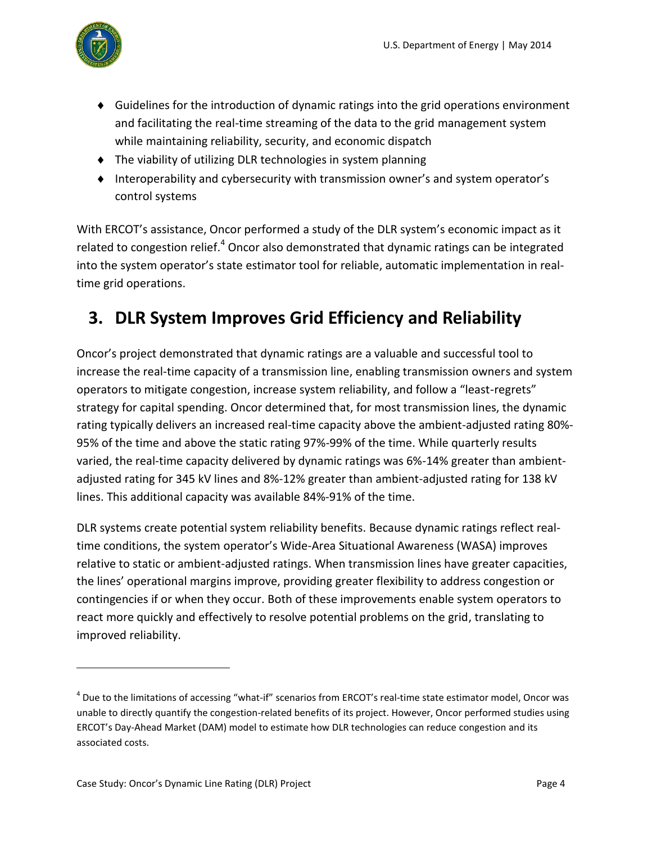

- Guidelines for the introduction of dynamic ratings into the grid operations environment and facilitating the real-time streaming of the data to the grid management system while maintaining reliability, security, and economic dispatch
- The viability of utilizing DLR technologies in system planning
- Interoperability and cybersecurity with transmission owner's and system operator's control systems

With ERCOT's assistance, Oncor performed a study of the DLR system's economic impact as it related to congestion relief.<sup>4</sup> Oncor also demonstrated that dynamic ratings can be integrated into the system operator's state estimator tool for reliable, automatic implementation in realtime grid operations.

## <span id="page-3-0"></span>**3. DLR System Improves Grid Efficiency and Reliability**

Oncor's project demonstrated that dynamic ratings are a valuable and successful tool to increase the real-time capacity of a transmission line, enabling transmission owners and system operators to mitigate congestion, increase system reliability, and follow a "least-regrets" strategy for capital spending. Oncor determined that, for most transmission lines, the dynamic rating typically delivers an increased real-time capacity above the ambient-adjusted rating 80%- 95% of the time and above the static rating 97%-99% of the time. While quarterly results varied, the real-time capacity delivered by dynamic ratings was 6%-14% greater than ambientadjusted rating for 345 kV lines and 8%-12% greater than ambient-adjusted rating for 138 kV lines. This additional capacity was available 84%-91% of the time.

DLR systems create potential system reliability benefits. Because dynamic ratings reflect realtime conditions, the system operator's Wide-Area Situational Awareness (WASA) improves relative to static or ambient-adjusted ratings. When transmission lines have greater capacities, the lines' operational margins improve, providing greater flexibility to address congestion or contingencies if or when they occur. Both of these improvements enable system operators to react more quickly and effectively to resolve potential problems on the grid, translating to improved reliability.

<sup>&</sup>lt;sup>4</sup> Due to the limitations of accessing "what-if" scenarios from ERCOT's real-time state estimator model, Oncor was unable to directly quantify the congestion-related benefits of its project. However, Oncor performed studies using ERCOT's Day-Ahead Market (DAM) model to estimate how DLR technologies can reduce congestion and its associated costs.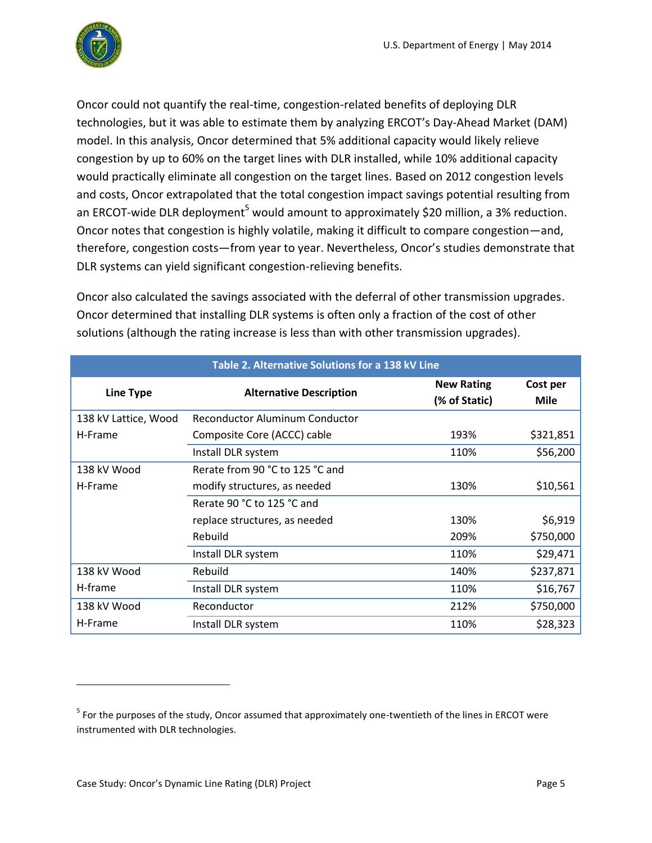

Oncor could not quantify the real-time, congestion-related benefits of deploying DLR technologies, but it was able to estimate them by analyzing ERCOT's Day-Ahead Market (DAM) model. In this analysis, Oncor determined that 5% additional capacity would likely relieve congestion by up to 60% on the target lines with DLR installed, while 10% additional capacity would practically eliminate all congestion on the target lines. Based on 2012 congestion levels and costs, Oncor extrapolated that the total congestion impact savings potential resulting from an ERCOT-wide DLR deployment<sup>5</sup> would amount to approximately \$20 million, a 3% reduction. Oncor notes that congestion is highly volatile, making it difficult to compare congestion—and, therefore, congestion costs—from year to year. Nevertheless, Oncor's studies demonstrate that DLR systems can yield significant congestion-relieving benefits.

Oncor also calculated the savings associated with the deferral of other transmission upgrades. Oncor determined that installing DLR systems is often only a fraction of the cost of other solutions (although the rating increase is less than with other transmission upgrades).

| Table 2. Alternative Solutions for a 138 kV Line |                                       |                                    |                  |
|--------------------------------------------------|---------------------------------------|------------------------------------|------------------|
| <b>Line Type</b>                                 | <b>Alternative Description</b>        | <b>New Rating</b><br>(% of Static) | Cost per<br>Mile |
| 138 kV Lattice, Wood                             | <b>Reconductor Aluminum Conductor</b> |                                    |                  |
| H-Frame                                          | Composite Core (ACCC) cable           | 193%                               | \$321,851        |
|                                                  | Install DLR system                    | 110%                               | \$56,200         |
| 138 kV Wood                                      | Rerate from 90 °C to 125 °C and       |                                    |                  |
| H-Frame                                          | modify structures, as needed          | 130%                               | \$10,561         |
|                                                  | Rerate 90 °C to 125 °C and            |                                    |                  |
|                                                  | replace structures, as needed         | 130%                               | \$6,919          |
|                                                  | Rebuild                               | 209%                               | \$750,000        |
|                                                  | Install DLR system                    | 110%                               | \$29,471         |
| 138 kV Wood                                      | Rebuild                               | 140%                               | \$237,871        |
| H-frame                                          | Install DLR system                    | 110%                               | \$16,767         |
| 138 kV Wood                                      | Reconductor                           | 212%                               | \$750,000        |
| H-Frame                                          | Install DLR system                    | 110%                               | \$28,323         |

 $<sup>5</sup>$  For the purposes of the study, Oncor assumed that approximately one-twentieth of the lines in ERCOT were</sup> instrumented with DLR technologies.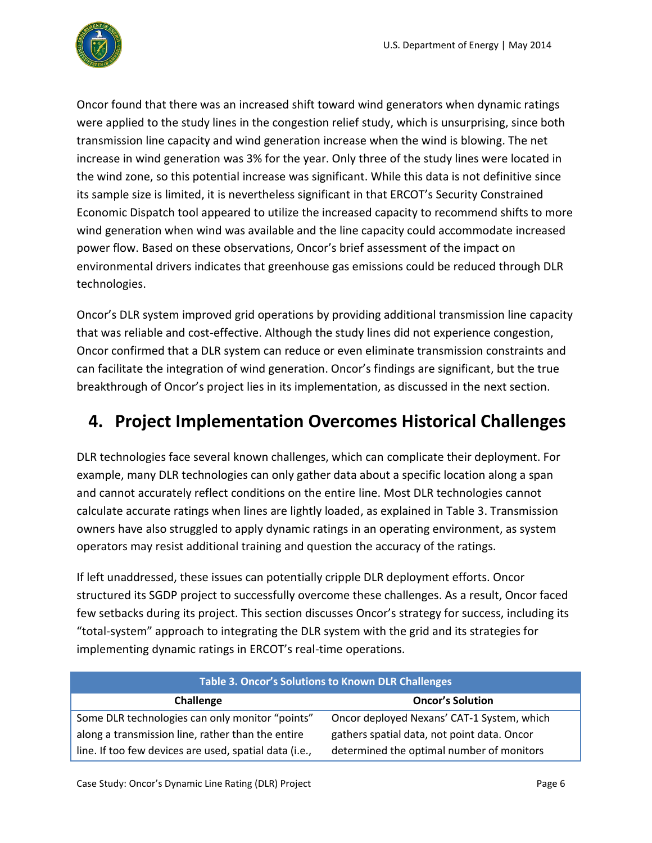

Oncor found that there was an increased shift toward wind generators when dynamic ratings were applied to the study lines in the congestion relief study, which is unsurprising, since both transmission line capacity and wind generation increase when the wind is blowing. The net increase in wind generation was 3% for the year. Only three of the study lines were located in the wind zone, so this potential increase was significant. While this data is not definitive since its sample size is limited, it is nevertheless significant in that ERCOT's Security Constrained Economic Dispatch tool appeared to utilize the increased capacity to recommend shifts to more wind generation when wind was available and the line capacity could accommodate increased power flow. Based on these observations, Oncor's brief assessment of the impact on environmental drivers indicates that greenhouse gas emissions could be reduced through DLR technologies.

Oncor's DLR system improved grid operations by providing additional transmission line capacity that was reliable and cost-effective. Although the study lines did not experience congestion, Oncor confirmed that a DLR system can reduce or even eliminate transmission constraints and can facilitate the integration of wind generation. Oncor's findings are significant, but the true breakthrough of Oncor's project lies in its implementation, as discussed in the next section.

## **4. Project Implementation Overcomes Historical Challenges**

DLR technologies face several known challenges, which can complicate their deployment. For example, many DLR technologies can only gather data about a specific location along a span and cannot accurately reflect conditions on the entire line. Most DLR technologies cannot calculate accurate ratings when lines are lightly loaded, as explained in Table 3. Transmission owners have also struggled to apply dynamic ratings in an operating environment, as system operators may resist additional training and question the accuracy of the ratings.

If left unaddressed, these issues can potentially cripple DLR deployment efforts. Oncor structured its SGDP project to successfully overcome these challenges. As a result, Oncor faced few setbacks during its project. This section discusses Oncor's strategy for success, including its "total-system" approach to integrating the DLR system with the grid and its strategies for implementing dynamic ratings in ERCOT's real-time operations.

| <b>Table 3. Oncor's Solutions to Known DLR Challenges</b> |                                             |  |
|-----------------------------------------------------------|---------------------------------------------|--|
| Challenge                                                 | <b>Oncor's Solution</b>                     |  |
| Some DLR technologies can only monitor "points"           | Oncor deployed Nexans' CAT-1 System, which  |  |
| along a transmission line, rather than the entire         | gathers spatial data, not point data. Oncor |  |
| line. If too few devices are used, spatial data (i.e.,    | determined the optimal number of monitors   |  |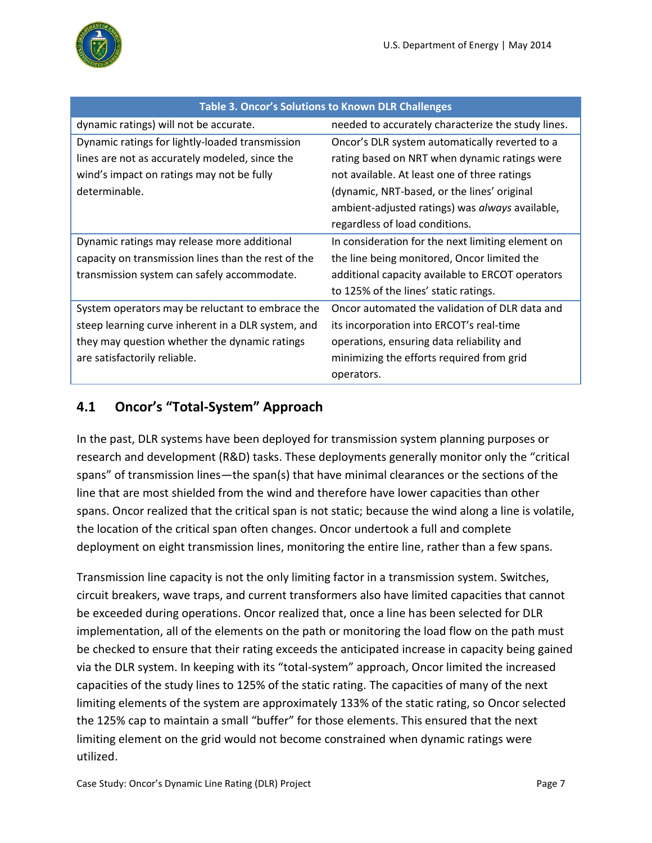

| Table 3. Oncor's Solutions to Known DLR Challenges  |                                                    |  |
|-----------------------------------------------------|----------------------------------------------------|--|
| dynamic ratings) will not be accurate.              | needed to accurately characterize the study lines. |  |
| Dynamic ratings for lightly-loaded transmission     | Oncor's DLR system automatically reverted to a     |  |
| lines are not as accurately modeled, since the      | rating based on NRT when dynamic ratings were      |  |
| wind's impact on ratings may not be fully           | not available. At least one of three ratings       |  |
| determinable.                                       | (dynamic, NRT-based, or the lines' original        |  |
|                                                     | ambient-adjusted ratings) was always available,    |  |
|                                                     | regardless of load conditions.                     |  |
| Dynamic ratings may release more additional         | In consideration for the next limiting element on  |  |
| capacity on transmission lines than the rest of the | the line being monitored, Oncor limited the        |  |
| transmission system can safely accommodate.         | additional capacity available to ERCOT operators   |  |
|                                                     | to 125% of the lines' static ratings.              |  |
| System operators may be reluctant to embrace the    | Oncor automated the validation of DLR data and     |  |
| steep learning curve inherent in a DLR system, and  | its incorporation into ERCOT's real-time           |  |
| they may question whether the dynamic ratings       | operations, ensuring data reliability and          |  |
| are satisfactorily reliable.                        | minimizing the efforts required from grid          |  |
|                                                     | operators.                                         |  |

#### **Table 3. Oncor's Solutions to Known DLR Challenges**

#### **4.1 Oncor's "Total-System" Approach**

In the past, DLR systems have been deployed for transmission system planning purposes or research and development (R&D) tasks. These deployments generally monitor only the "critical spans" of transmission lines—the span(s) that have minimal clearances or the sections of the line that are most shielded from the wind and therefore have lower capacities than other spans. Oncor realized that the critical span is not static; because the wind along a line is volatile, the location of the critical span often changes. Oncor undertook a full and complete deployment on eight transmission lines, monitoring the entire line, rather than a few spans.

Transmission line capacity is not the only limiting factor in a transmission system. Switches, circuit breakers, wave traps, and current transformers also have limited capacities that cannot be exceeded during operations. Oncor realized that, once a line has been selected for DLR implementation, all of the elements on the path or monitoring the load flow on the path must be checked to ensure that their rating exceeds the anticipated increase in capacity being gained via the DLR system. In keeping with its "total-system" approach, Oncor limited the increased capacities of the study lines to 125% of the static rating. The capacities of many of the next limiting elements of the system are approximately 133% of the static rating, so Oncor selected the 125% cap to maintain a small "buffer" for those elements. This ensured that the next limiting element on the grid would not become constrained when dynamic ratings were utilized.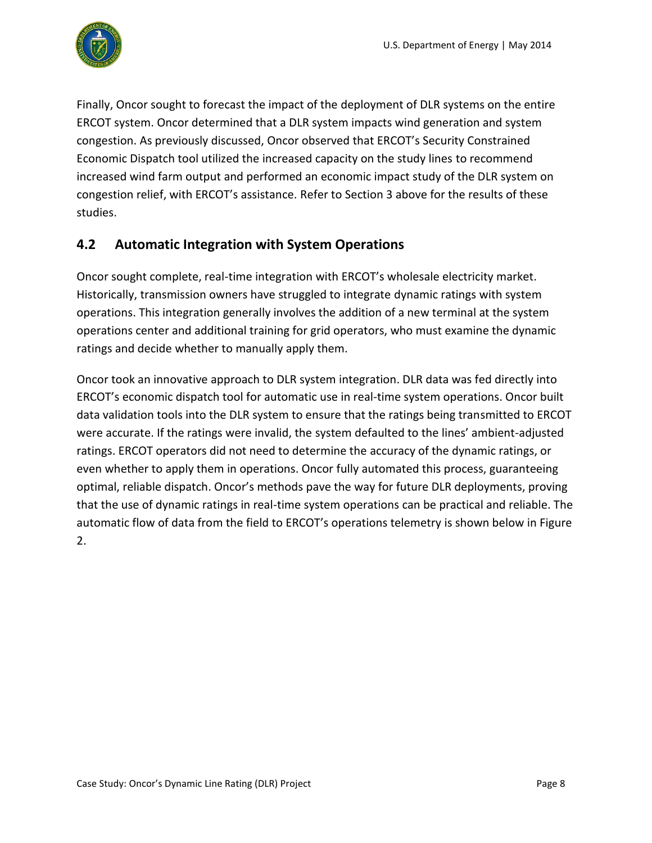

Finally, Oncor sought to forecast the impact of the deployment of DLR systems on the entire ERCOT system. Oncor determined that a DLR system impacts wind generation and system congestion. As previously discussed, Oncor observed that ERCOT's Security Constrained Economic Dispatch tool utilized the increased capacity on the study lines to recommend increased wind farm output and performed an economic impact study of the DLR system on congestion relief, with ERCOT's assistance. Refer to Sectio[n 3](#page-3-0) above for the results of these studies.

#### **4.2 Automatic Integration with System Operations**

Oncor sought complete, real-time integration with ERCOT's wholesale electricity market. Historically, transmission owners have struggled to integrate dynamic ratings with system operations. This integration generally involves the addition of a new terminal at the system operations center and additional training for grid operators, who must examine the dynamic ratings and decide whether to manually apply them.

Oncor took an innovative approach to DLR system integration. DLR data was fed directly into ERCOT's economic dispatch tool for automatic use in real-time system operations. Oncor built data validation tools into the DLR system to ensure that the ratings being transmitted to ERCOT were accurate. If the ratings were invalid, the system defaulted to the lines' ambient-adjusted ratings. ERCOT operators did not need to determine the accuracy of the dynamic ratings, or even whether to apply them in operations. Oncor fully automated this process, guaranteeing optimal, reliable dispatch. Oncor's methods pave the way for future DLR deployments, proving that the use of dynamic ratings in real-time system operations can be practical and reliable. The automatic flow of data from the field to ERCOT's operations telemetry is shown below i[n Figure](#page-8-0)  [2.](#page-8-0)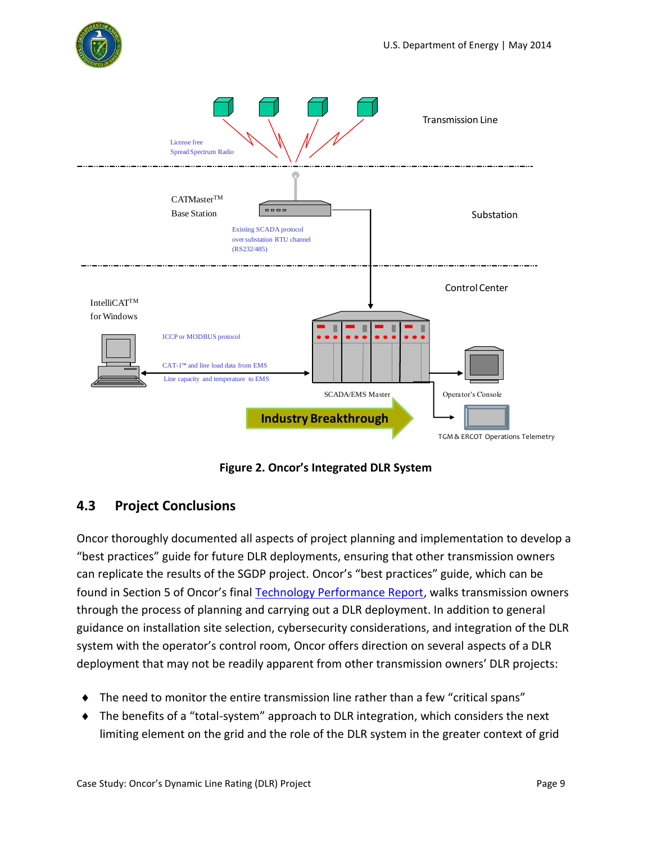



**Figure 2. Oncor's Integrated DLR System**

#### <span id="page-8-0"></span>**4.3 Project Conclusions**

Oncor thoroughly documented all aspects of project planning and implementation to develop a "best practices" guide for future DLR deployments, ensuring that other transmission owners can replicate the results of the SGDP project. Oncor's "best practices" guide, which can be found in Section 5 of Oncor's final [Technology Performance Report,](https://www.smartgrid.gov/sites/default/files/FTR_Final_Oncor_DE-OE0000320.pdf) walks transmission owners through the process of planning and carrying out a DLR deployment. In addition to general guidance on installation site selection, cybersecurity considerations, and integration of the DLR system with the operator's control room, Oncor offers direction on several aspects of a DLR deployment that may not be readily apparent from other transmission owners' DLR projects:

- $\bullet$  The need to monitor the entire transmission line rather than a few "critical spans"
- The benefits of a "total-system" approach to DLR integration, which considers the next limiting element on the grid and the role of the DLR system in the greater context of grid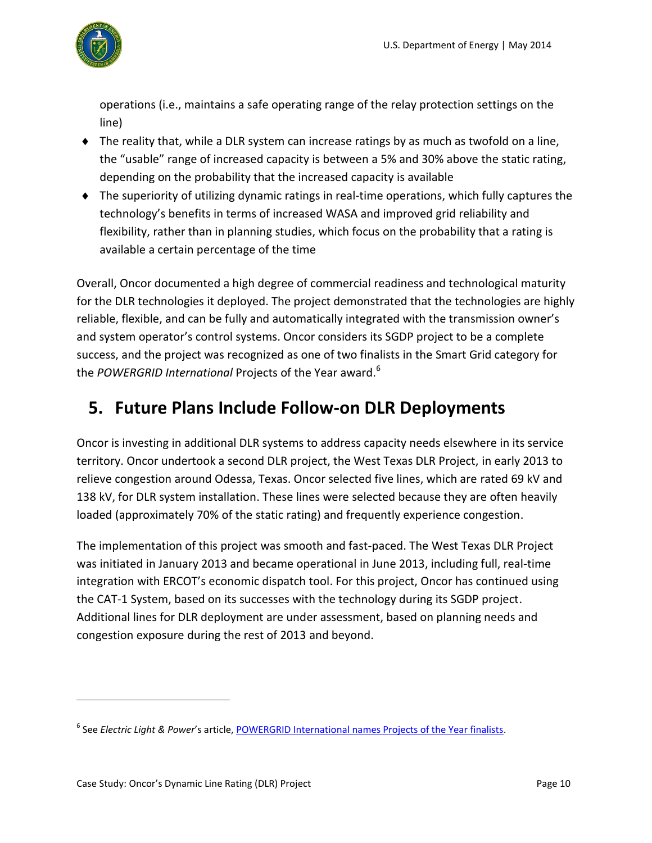

operations (i.e., maintains a safe operating range of the relay protection settings on the line)

- $\bullet$  The reality that, while a DLR system can increase ratings by as much as twofold on a line, the "usable" range of increased capacity is between a 5% and 30% above the static rating, depending on the probability that the increased capacity is available
- The superiority of utilizing dynamic ratings in real-time operations, which fully captures the technology's benefits in terms of increased WASA and improved grid reliability and flexibility, rather than in planning studies, which focus on the probability that a rating is available a certain percentage of the time

Overall, Oncor documented a high degree of commercial readiness and technological maturity for the DLR technologies it deployed. The project demonstrated that the technologies are highly reliable, flexible, and can be fully and automatically integrated with the transmission owner's and system operator's control systems. Oncor considers its SGDP project to be a complete success, and the project was recognized as one of two finalists in the Smart Grid category for the *POWERGRID International* Projects of the Year award.<sup>6</sup>

## **5. Future Plans Include Follow-on DLR Deployments**

Oncor is investing in additional DLR systems to address capacity needs elsewhere in its service territory. Oncor undertook a second DLR project, the West Texas DLR Project, in early 2013 to relieve congestion around Odessa, Texas. Oncor selected five lines, which are rated 69 kV and 138 kV, for DLR system installation. These lines were selected because they are often heavily loaded (approximately 70% of the static rating) and frequently experience congestion.

The implementation of this project was smooth and fast-paced. The West Texas DLR Project was initiated in January 2013 and became operational in June 2013, including full, real-time integration with ERCOT's economic dispatch tool. For this project, Oncor has continued using the CAT-1 System, based on its successes with the technology during its SGDP project. Additional lines for DLR deployment are under assessment, based on planning needs and congestion exposure during the rest of 2013 and beyond.

<sup>&</sup>lt;sup>6</sup> See *Electric Light & Power'*s article, <u>POWERGRID International names Projects of the Year finalists</u>.